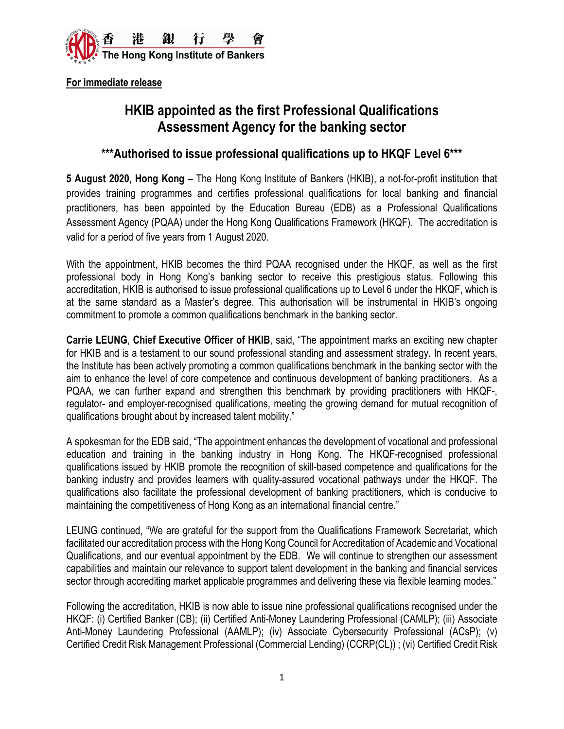

**For immediate release**

# **HKIB appointed as the first Professional Qualifications Assessment Agency for the banking sector**

# **\*\*\*Authorised to issue professional qualifications up to HKQF Level 6\*\*\***

**5 August 2020, Hong Kong –** The Hong Kong Institute of Bankers (HKIB), a not-for-profit institution that provides training programmes and certifies professional qualifications for local banking and financial practitioners, has been appointed by the Education Bureau (EDB) as a Professional Qualifications Assessment Agency (PQAA) under the Hong Kong Qualifications Framework (HKQF). The accreditation is valid for a period of five years from 1 August 2020.

With the appointment, HKIB becomes the third PQAA recognised under the HKQF, as well as the first professional body in Hong Kong's banking sector to receive this prestigious status. Following this accreditation, HKIB is authorised to issue professional qualifications up to Level 6 under the HKQF, which is at the same standard as a Master's degree. This authorisation will be instrumental in HKIB's ongoing commitment to promote a common qualifications benchmark in the banking sector.

**Carrie LEUNG**, **Chief Executive Officer of HKIB**, said, "The appointment marks an exciting new chapter for HKIB and is a testament to our sound professional standing and assessment strategy. In recent years, the Institute has been actively promoting a common qualifications benchmark in the banking sector with the aim to enhance the level of core competence and continuous development of banking practitioners. As a PQAA, we can further expand and strengthen this benchmark by providing practitioners with HKQF-, regulator- and employer-recognised qualifications, meeting the growing demand for mutual recognition of qualifications brought about by increased talent mobility."

A spokesman for the EDB said, "The appointment enhances the development of vocational and professional education and training in the banking industry in Hong Kong. The HKQF-recognised professional qualifications issued by HKIB promote the recognition of skill-based competence and qualifications for the banking industry and provides learners with quality-assured vocational pathways under the HKQF. The qualifications also facilitate the professional development of banking practitioners, which is conducive to maintaining the competitiveness of Hong Kong as an international financial centre."

LEUNG continued, "We are grateful for the support from the Qualifications Framework Secretariat, which facilitated our accreditation process with the Hong Kong Council for Accreditation of Academic and Vocational Qualifications, and our eventual appointment by the EDB. We will continue to strengthen our assessment capabilities and maintain our relevance to support talent development in the banking and financial services sector through accrediting market applicable programmes and delivering these via flexible learning modes."

Following the accreditation, HKIB is now able to issue nine professional qualifications recognised under the HKQF: (i) Certified Banker (CB); (ii) Certified Anti-Money Laundering Professional (CAMLP); (iii) Associate Anti-Money Laundering Professional (AAMLP); (iv) Associate Cybersecurity Professional (ACsP); (v) Certified Credit Risk Management Professional (Commercial Lending) (CCRP(CL)) ; (vi) Certified Credit Risk